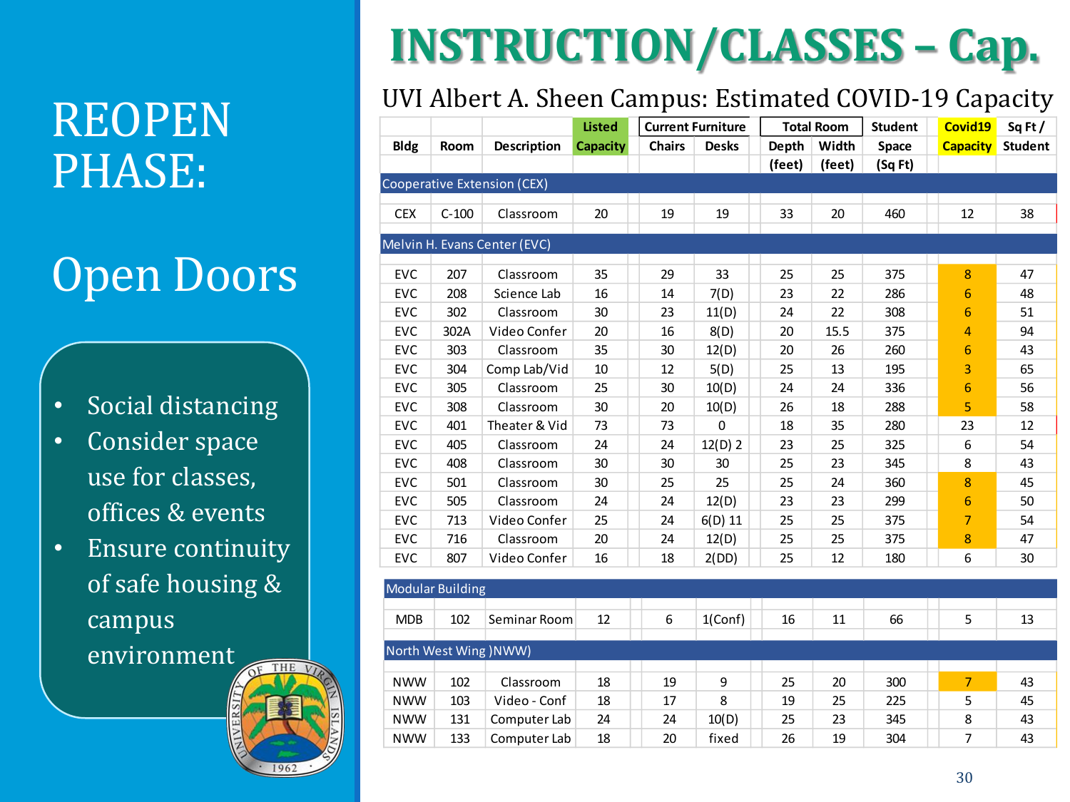# PHASE:

#### Open Doors

- Social distancing
- Consider space use for classes, offices & events
- Ensure continuity of safe housing & campus environment



## **INSTRUCTION/CLASSES – Cap.**

#### UVI Albert A. Sheen Campus: Estimated COVID-19 Capacity<br>
UVI Albert A. Sheen Campus: Estimated COVID-19 Capacity<br>
Total Room Student | Covid19 Sq Ft /

|             |                         |                              | <b>Listed</b>   |               | <b>Current Furniture</b> |        | <b>Total Room</b> | Student | Covid19          | Sq Ft/         |
|-------------|-------------------------|------------------------------|-----------------|---------------|--------------------------|--------|-------------------|---------|------------------|----------------|
| <b>Bldg</b> | Room                    | Description                  | <b>Capacity</b> | <b>Chairs</b> | <b>Desks</b>             | Depth  | Width             | Space   | <b>Capacity</b>  | <b>Student</b> |
|             |                         |                              |                 |               |                          | (feet) | (feet)            | (Sq Ft) |                  |                |
|             |                         | Cooperative Extension (CEX)  |                 |               |                          |        |                   |         |                  |                |
| <b>CEX</b>  | $C-100$                 | Classroom                    | 20              | 19            | 19                       | 33     | 20                | 460     | 12               | 38             |
|             |                         | Melvin H. Evans Center (EVC) |                 |               |                          |        |                   |         |                  |                |
| <b>EVC</b>  | 207                     | Classroom                    | 35              | 29            | 33                       | 25     | 25                | 375     | $\boldsymbol{8}$ | 47             |
| EVC         | 208                     | Science Lab                  | 16              | 14            | 7(D)                     | 23     | 22                | 286     | $\boldsymbol{6}$ | 48             |
| <b>EVC</b>  | 302                     | Classroom                    | 30              | 23            | 11(D)                    | 24     | 22                | 308     | $6\phantom{1}6$  | 51             |
| <b>EVC</b>  | 302A                    | Video Confer                 | 20              | 16            | 8(D)                     | 20     | 15.5              | 375     | 4                | 94             |
| <b>EVC</b>  | 303                     | Classroom                    | 35              | 30            | 12(D)                    | 20     | 26                | 260     | 6                | 43             |
| <b>EVC</b>  | 304                     | Comp Lab/Vid                 | 10              | 12            | 5(D)                     | 25     | 13                | 195     | 3                | 65             |
| <b>EVC</b>  | 305                     | Classroom                    | 25              | 30            | 10(D)                    | 24     | 24                | 336     | $6\phantom{1}$   | 56             |
| <b>EVC</b>  | 308                     | Classroom                    | 30              | 20            | 10(D)                    | 26     | 18                | 288     | 5                | 58             |
| <b>EVC</b>  | 401                     | Theater & Vid                | 73              | 73            | $\mathbf 0$              | 18     | 35                | 280     | 23               | 12             |
| <b>EVC</b>  | 405                     | Classroom                    | 24              | 24            | 12(D) 2                  | 23     | 25                | 325     | 6                | 54             |
| <b>EVC</b>  | 408                     | Classroom                    | 30              | 30            | 30                       | 25     | 23                | 345     | 8                | 43             |
| <b>EVC</b>  | 501                     | Classroom                    | 30              | 25            | 25                       | 25     | 24                | 360     | $\overline{8}$   | 45             |
| <b>EVC</b>  | 505                     | Classroom                    | 24              | 24            | 12(D)                    | 23     | 23                | 299     | $6\phantom{1}6$  | 50             |
| <b>EVC</b>  | 713                     | Video Confer                 | 25              | 24            | $6(D)$ 11                | 25     | 25                | 375     | $\overline{7}$   | 54             |
| EVC         | 716                     | Classroom                    | 20              | 24            | 12(D)                    | 25     | 25                | 375     | 8                | 47             |
| <b>EVC</b>  | 807                     | Video Confer                 | 16              | 18            | 2(DD)                    | 25     | 12                | 180     | 6                | 30             |
|             |                         |                              |                 |               |                          |        |                   |         |                  |                |
|             | <b>Modular Building</b> |                              |                 |               |                          |        |                   |         |                  |                |

|            | Modular Building      |              |    |    |            |    |    |     |   |    |
|------------|-----------------------|--------------|----|----|------------|----|----|-----|---|----|
|            |                       |              |    |    |            |    |    |     |   |    |
| <b>MDB</b> | 102                   | Seminar Room | 12 | 6  | $1$ (Conf) | 16 | 11 | 66  | 5 | 13 |
|            |                       |              |    |    |            |    |    |     |   |    |
|            | North West Wing (NWW) |              |    |    |            |    |    |     |   |    |
|            |                       |              |    |    |            |    |    |     |   |    |
| <b>NWW</b> | 102                   | Classroom    | 18 | 19 | 9          | 25 | 20 | 300 | 7 | 43 |
| <b>NWW</b> | 103                   | Video - Conf | 18 | 17 | 8          | 19 | 25 | 225 | 5 | 45 |
| <b>NWW</b> | 131                   | Computer Lab | 24 | 24 | 10(D)      | 25 | 23 | 345 | 8 | 43 |
| <b>NWW</b> | 133                   | Computer Lab | 18 | 20 | fixed      | 26 | 19 | 304 | 7 | 43 |
|            |                       |              |    |    |            |    |    |     |   |    |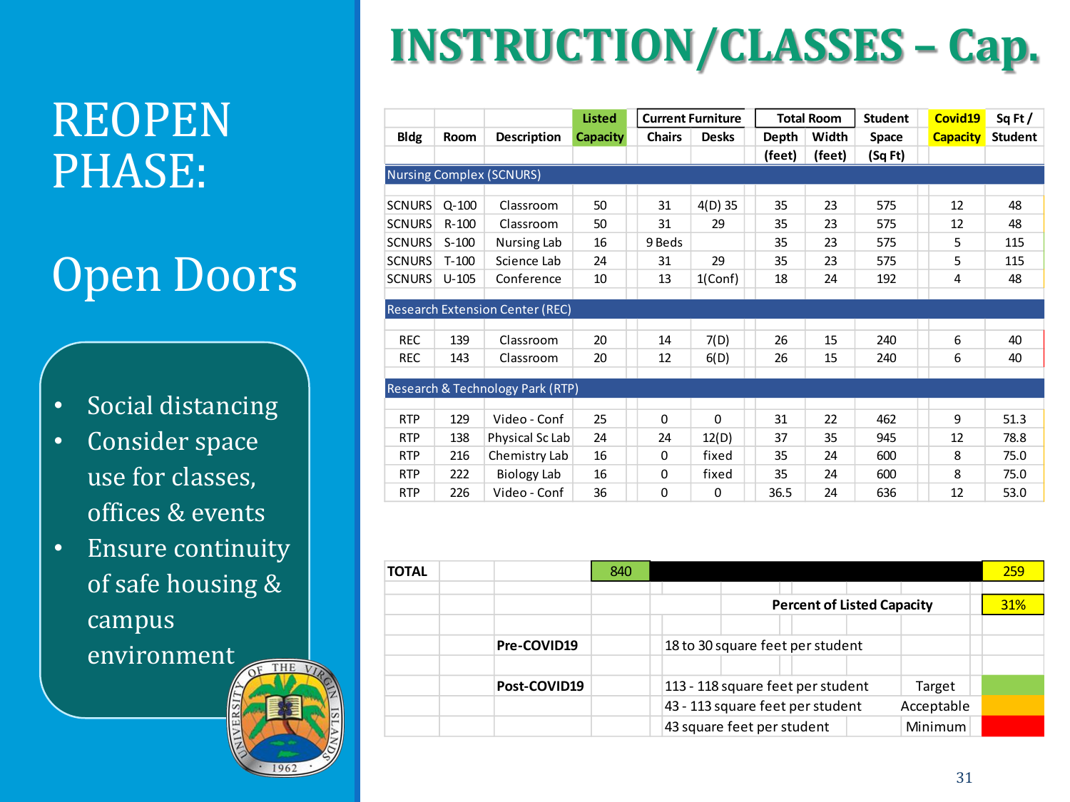#### REOPEN PHASE:

#### Open Doors

- Social distancing
- Consider space use for classes, offices & events
- Ensure continuity of safe housing & campus environment THE



|               |           |                                             | <b>Listed</b>   |               | <b>Current Furniture</b> |        | <b>Total Room</b> | <b>Student</b> | Covid19         | Sq Ft/         |
|---------------|-----------|---------------------------------------------|-----------------|---------------|--------------------------|--------|-------------------|----------------|-----------------|----------------|
| <b>Bldg</b>   | Room      | <b>Description</b>                          | <b>Capacity</b> | <b>Chairs</b> | <b>Desks</b>             | Depth  | Width             | Space          | <b>Capacity</b> | <b>Student</b> |
|               |           |                                             |                 |               |                          | (feet) | (feet)            | (Sq Ft)        |                 |                |
|               |           | <b>Nursing Complex (SCNURS)</b>             |                 |               |                          |        |                   |                |                 |                |
|               |           |                                             |                 |               |                          |        |                   |                |                 |                |
| <b>SCNURS</b> | $Q - 100$ | Classroom                                   | 50              | 31            | $4(D)$ 35                | 35     | 23                | 575            | 12              | 48             |
| <b>SCNURS</b> | $R - 100$ | Classroom                                   | 50              | 31            | 29                       | 35     | 23                | 575            | 12              | 48             |
| <b>SCNURS</b> | $S-100$   | Nursing Lab                                 | 16              | 9 Beds        |                          | 35     | 23                | 575            | 5               | 115            |
| <b>SCNURS</b> | $T-100$   | Science Lab                                 | 24              | 31            | 29                       | 35     | 23                | 575            | 5               | 115            |
| <b>SCNURS</b> | $U-105$   | Conference                                  | 10              | 13            | $1$ (Conf)               | 18     | 24                | 192            | 4               | 48             |
|               |           |                                             |                 |               |                          |        |                   |                |                 |                |
|               |           | <b>Research Extension Center (REC)</b>      |                 |               |                          |        |                   |                |                 |                |
|               |           |                                             |                 |               |                          |        |                   |                |                 |                |
| <b>REC</b>    | 139       | Classroom                                   | 20              | 14            | 7(D)                     | 26     | 15                | 240            | 6               | 40             |
| <b>REC</b>    | 143       | Classroom                                   | 20              | 12            | 6(D)                     | 26     | 15                | 240            | 6               | 40             |
|               |           |                                             |                 |               |                          |        |                   |                |                 |                |
|               |           | <b>Research &amp; Technology Park (RTP)</b> |                 |               |                          |        |                   |                |                 |                |
|               |           |                                             |                 |               |                          |        |                   |                |                 |                |
| <b>RTP</b>    | 129       | Video - Conf                                | 25              | $\Omega$      | $\mathbf{0}$             | 31     | 22                | 462            | 9               | 51.3           |
| <b>RTP</b>    | 138       | Physical Sc Lab                             | 24              | 24            | 12(D)                    | 37     | 35                | 945            | 12              | 78.8           |
| <b>RTP</b>    | 216       | Chemistry Lab                               | 16              | $\Omega$      | fixed                    | 35     | 24                | 600            | 8               | 75.0           |
| <b>RTP</b>    | 222       | Biology Lab                                 | 16              | 0             | fixed                    | 35     | 24                | 600            | 8               | 75.0           |
| <b>RTP</b>    | 226       | Video - Conf                                | 36              | $\Omega$      | 0                        | 36.5   | 24                | 636            | 12              | 53.0           |

| <b>TOTAL</b> |              | 840 |                                                | 259        |
|--------------|--------------|-----|------------------------------------------------|------------|
|              |              |     |                                                |            |
|              |              |     | <b>Percent of Listed Capacity</b>              | <b>31%</b> |
|              |              |     |                                                |            |
|              | Pre-COVID19  |     | 18 to 30 square feet per student               |            |
|              |              |     |                                                |            |
|              | Post-COVID19 |     | 113 - 118 square feet per student<br>Target    |            |
|              |              |     | 43 - 113 square feet per student<br>Acceptable |            |
|              |              |     | 43 square feet per student<br><b>Minimum</b>   |            |